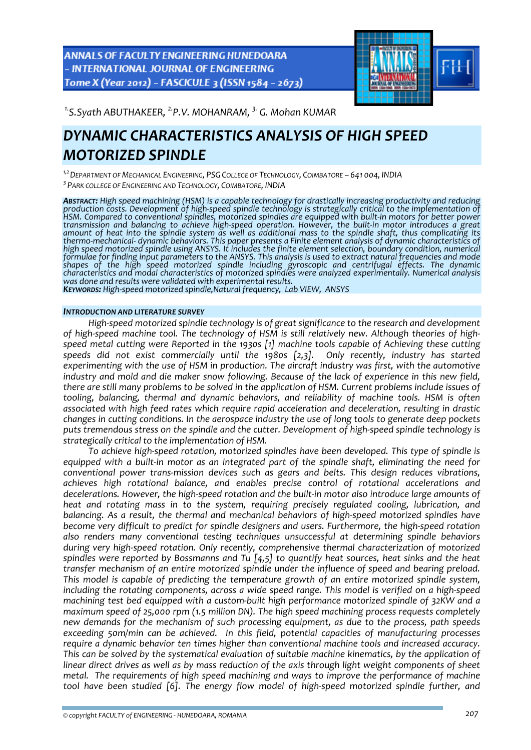ANNALS OF FACULTY ENGINEERING HUNEDOARA - INTERNATIONAL JOURNAL OF ENGINEERING Tome X (Year 2012) - FASCICULE 3 (ISSN 1584 - 2673)



*1.S.Syath ABUTHAKEER, 2.P.V. MOHANRAM, 3. G. Mohan KUMAR* 

# *DYNAMIC CHARACTERISTICS ANALYSIS OF HIGH SPEED MOTORIZED SPINDLE*

*1,2DEPARTMENT OF MECHANICAL ENGINEERING, PSG COLLEGE OF TECHNOLOGY, COIMBATORE – 641 004, INDIA <sup>3</sup> PARK COLLEGE OF ENGINEERING AND TECHNOLOGY, COIMBATORE, INDIA*

ABSTRACT: High speed machining (HSM) is a capable technology for drastically increasing productivity and reducing<br>production costs. Development of high-speed spindle technology is strategically critical to the implementati HSM. Compared to conventional spindles, motorized spindles are equipped with built in motors for better power transmission and balancing to achieve high-speed operation. However, the built-in motor introduces a great amount of heat into the spindle system as well as additional mass to the spindle shaft, thus complicating its thermo-mechanical- dynamic behaviors. This paper presents a Finite element analysis of dynamic characteristics of<br>high speed motorized spindle using ANSYS. It includes the finite element selection, boundary condition, nume formulae for finding input parameters to the ANSYS. This analysis is used to extract natural frequencies and mode shapes of the high speed motorized spindle including gyroscopic and centrifugal effects. The dynamic<br>characteristics and modal characteristics of motorized spindles were analyzed experimentally. Numerical analysis<br>was done

KEYWORDS: High-speed motorized spindle, Natural frequency, Lab VIEW, ANSYS

#### *INTRODUCTION AND LITERATURE SURVEY*

*High‐speed motorized spindle technology is of great significance to the research and development* of high-speed machine tool. The technology of HSM is still relatively new. Although theories of high*speed metal cutting were Reported in the 1930s [1] machine tools capable of Achieving these cutting speeds did not exist commercially until the 1980s [2,3]. experimenting with the use of HSM in production. The aircraft industry was first, with the automotive* industry and mold and die maker snow following. Because of the lack of experience in this new field, there are still many problems to be solved in the application of HSM. Current problems include issues of *tooling, balancing, thermal and dynamic behaviors, and reliability of machine tools. HSM is often associated with high feed rates which require rapid acceleration and deceleration, resulting in drastic changes in cutting conditions. In the aerospace industry the use of long tools to generate deep pockets puts tremendous stress on the spindle and the cutter. Development of high‐speed spindle technology is strategically critical to the implementation of HSM.*

*To achieve high‐speed rotation, motorized spindles have been developed. This type of spindle is* equipped with a built-in motor as an integrated part of the spindle shaft, eliminating the need for *conventional power trans‐mission devices such as gears and belts. This design reduces vibrations, achieves high rotational balance, and enables precise control of rotational accelerations and* decelerations. However, the high-speed rotation and the built-in motor also introduce large amounts of *heat and rotating mass in to the system, requiring precisely regulated cooling, lubrication, and balancing. As a result, the thermal and mechanical behaviors of high‐speed motorized spindles have become very difficult to predict for spindle designers and users. Furthermore, the high‐speed rotation also renders many conventional testing techniques unsuccessful at determining spindle behaviors during very high‐speed rotation. Only recently, comprehensive thermal characterization of motorized spindles were reported by Bossmanns and Tu [4,5] to quantify heat sources, heat sinks and the heat transfer mechanism of an entire motorized spindle under the influence of speed and bearing preload. This model is capable of predicting the temperature growth of an entire motorized spindle system,* including the rotating components, across a wide speed range. This model is verified on a high-speed *machining test bed equipped with a custom‐built high performance motorized spindle of 32KW and a maximum speed of 25,000 rpm (1.5 million DN). The high speed machining process requests completely new demands for the mechanism of such processing equipment, as due to the process, path speeds exceeding 50m/min can be achieved. In this field, potential capacities of manufacturing processes require a dynamic behavior ten times higher than conventional machine tools and increased accuracy. This can be solved by the systematical evaluation of suitable machine kinematics, by the application of* linear direct drives as well as by mass reduction of the axis through light weight components of sheet *metal. The requirements of high speed machining and ways to improve the performance of machine tool have been studied [6]. The energy flow model of high‐speed motorized spindle further, and*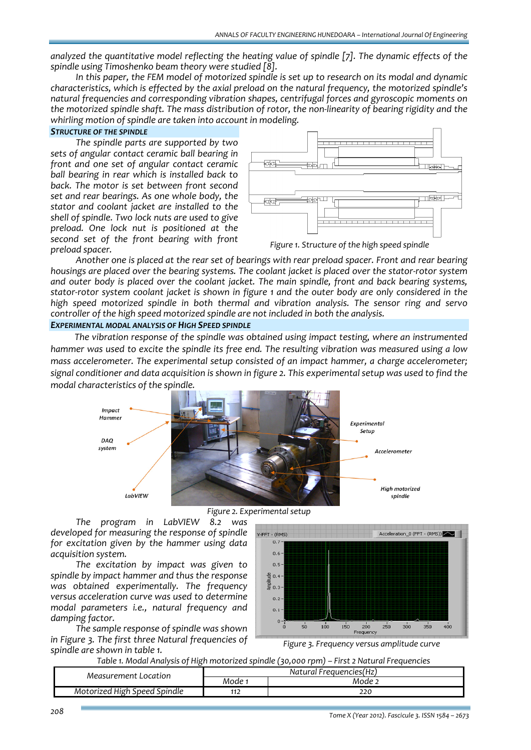*analyzed the quantitative model reflecting the heating value of spindle [7]. The dynamic effects of the spindle using Timoshenko beam theory were studied [8].* 

In this paper, the FEM model of motorized spindle is set up to research on its modal and dynamic *characteristics, which is effected by the axial preload on the natural frequency, the motorized spindle's natural frequencies and corresponding vibration shapes, centrifugal forces and gyroscopic moments on* the motorized spindle shaft. The mass distribution of rotor, the non-linearity of bearing rigidity and the *whirling motion of spindle are taken into account in modeling.*

### *STRUCTURE OF THE SPINDLE*

*The spindle parts are supported by two sets of angular contact ceramic ball bearing in front and one set of angular contact ceramic ball bearing in rear which is installed back to back. The motor is set between front second set and rear bearings. As one whole body, the stator and coolant jacket are installed to the shell of spindle. Two lock nuts are used to give preload. One lock nut is positioned at the second set of the front bearing with front preload spacer.*



*Figure 1. Structure of the high speed spindle*

*Another one is placed at the rear set of bearings with rear preload spacer. Front and rear bearing* housings are placed over the bearing systems. The coolant jacket is placed over the stator-rotor system *and outer body is placed over the coolant jacket. The main spindle, front and back bearing systems,* stator-rotor system coolant jacket is shown in figure 1 and the outer body are only considered in the *high speed motorized spindle in both thermal and vibration analysis. The sensor ring and servo controller of the high speed motorized spindle are not included in both the analysis.*

#### *EXPERIMENTAL MODAL ANALYSIS OF HIGH SPEED SPINDLE*

*The vibration response of the spindle was obtained using impact testing, where an instrumented* hammer was used to excite the spindle its free end. The resulting vibration was measured using a low *mass accelerometer. The experimental setup consisted of an impact hammer, a charge accelerometer;* signal conditioner and data acquisition is shown in figure 2. This experimental setup was used to find the *modal characteristics of the spindle.* 





*The program in LabVIEW 8.2 was developed for measuring the response of spindle for excitation given by the hammer using data acquisition system.*

*The excitation by impact was given to spindle by impact hammer and thus the response was obtained experimentally. The frequency versus acceleration curve was used to determine modal parameters i.e., natural frequency and damping factor.* 

*The sample response of spindle was shown in Figure 3. The first three Natural frequencies of spindle are shown in table 1.*



*Figure 3. Frequency versus amplitude curve*

*Table 1. Modal Analysis of High motorized spindle (30,000 rpm) – First 2 Natural Frequencies*

| Mode 1<br>Mode <sup>-</sup> | Measurement Location         | Natural Frequencies(Hz) |     |  |  |
|-----------------------------|------------------------------|-------------------------|-----|--|--|
|                             |                              |                         |     |  |  |
|                             | Motorized High Speed Spindle |                         | 220 |  |  |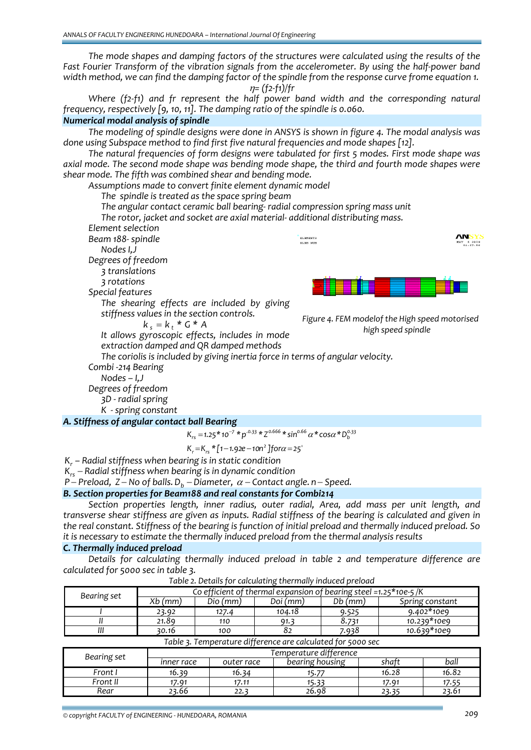*The mode shapes and damping factors of the structures were calculated using the results of the Fast Fourier Transform of the vibration signals from the accelerometer. By using the half‐power band* width method, we can find the damping factor of the spindle from the response curve frome equation 1. <sup>η</sup>*= (f2‐f1)/fr*

*Where (f2‐f1) and fr represent the half power band width and the corresponding natural frequency, respectively [9, 10, 11]. The damping ratio of the spindle is 0.060.*

#### *Numerical modal analysis of spindle*

*The modeling of spindle designs were done in ANSYS is shown in figure 4. The modal analysis was done using Subspace method to find first five natural frequencies and mode shapes [12].* 

*The natural frequencies of form designs were tabulated for first 5 modes. First mode shape was axial mode. The second mode shape was bending mode shape, the third and fourth mode shapes were shear mode. The fifth was combined shear and bending mode.* 

*Assumptions made to convert finite element dynamic model The spindle is treated as the space spring beam The angular contact ceramic ball bearing‐ radial compression spring mass unit The rotor, jacket and socket are axial material‐ additional distributing mass. Element selection Beam 188‐ spindle* ELEMENTS *Nodes I,J Degrees of freedom 3 translations 3 rotations Special features The shearing effects are included by giving stiffness values in the section controls. Figure 4. FEM modelof the High speed motorised*  $k_s = k_t * G * A$ *high speed spindle It allows gyroscopic effects, includes in mode extraction damped and QR damped methods The coriolis is included by giving inertia force in terms of angular velocity. Combi ‐214 Bearing* 

 *Nodes – I,J Degrees of freedom* 

*3D ‐ radial spring*

*K ‐ spring constant* 

*A. Stiffness of angular contact ball Bearing*  $K_{rs} = 1.25 * 10^{-7} * p^{0.33} * Z^{0.666} * \sin^{0.66} \alpha * \cos \alpha * D_b^{0.33}$ 

$$
K_r = K_{rs} * [1 - 1.92e - 10n^2]
$$
 for  $\alpha = 25^\circ$ 

*Kr – Radial stiffness when bearing is in static condition*

*K*<sub>rs</sub> − *Radial stiffness when bearing is in dynamic condition* 

*P* − *Preload,*  $Z$  − *No of balls.*  $D_h$  − *Diameter,*  $\alpha$  − *Contact angle. n* − *Speed.* 

# *B. Section properties for Beam188 and real constants for Combi214*

*Section properties length, inner radius, outer radial, Area, add mass per unit length, and*  transverse shear stiffness are given as inputs. Radial stiffness of the bearing is calculated and given in the real constant. Stiffness of the bearing is function of initial preload and thermally induced preload. So *it is necessary to estimate the thermally induced preload from the thermal analysis results*

#### *C. Thermally induced preload*

*Details for calculating thermally induced preload in table 2 and temperature difference are calculated for 5000 sec in table 3.*

| Bearing set                                                 | Co efficient of thermal expansion of bearing steel =1.25*10e-5/K |          |          |         |                 |  |
|-------------------------------------------------------------|------------------------------------------------------------------|----------|----------|---------|-----------------|--|
|                                                             | Xb (mm)                                                          | Dio (mm) | Doi (mm) | Db (mm) | Spring constant |  |
|                                                             | 23.92                                                            | 127.4    | 104.18   | 9.525   | $9.402*10e9$    |  |
|                                                             | 21.89                                                            | 110      | 91. 3    | 8.731   | 10.239*10e9     |  |
|                                                             | 30.16                                                            | 100      | 82       | 7.938   | 10.639*10e9     |  |
| Table 3. Temperature difference are calculated for 5000 sec |                                                                  |          |          |         |                 |  |

*Table 2. Details for calculating thermally induced preload*

| Bearing set | Temperature difference |            |                 |                   |       |  |  |  |
|-------------|------------------------|------------|-----------------|-------------------|-------|--|--|--|
|             | inner race             | outer race | bearing housing | shatt             | ball  |  |  |  |
| Front I     | 16.39                  | 16.34      | 15.77           | 16.28             | 16.82 |  |  |  |
| Front II    | 17.91                  | 17.11      | 15.33           | 17.91             | 17.55 |  |  |  |
| Rear        | 23.66                  | 22.3       | 26.98           | 23.3 <sup>r</sup> | 23.61 |  |  |  |

**ANSYS** 

 $x$  s 2009<br>01:27:56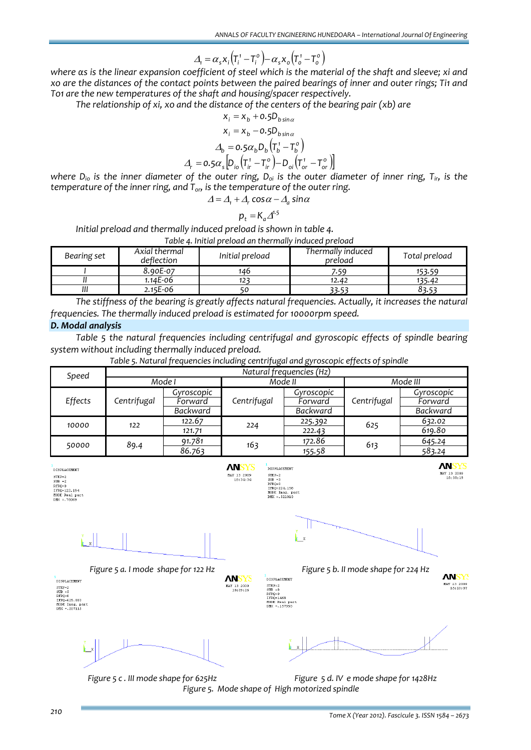$$
\Delta_{\rm t} = \alpha_{\rm s} x_{\rm i} \left( T_{\rm i}^{\rm t} - T_{\rm i}^{\rm o} \right) - \alpha_{\rm s} x_{\rm o} \left( T_{\rm o}^{\rm t} - T_{\rm o}^{\rm o} \right)
$$

where as is the linear expansion coefficient of steel which is the material of the shaft and sleeve; xi and xo are the distances of the contact points between the paired bearings of inner and outer rings; Ti1 and *To1 are the new temperatures of the shaft and housing/spacer respectively.* 

*The relationship of xi, xo and the distance of the centers of the bearing pair (xb) are*

$$
x_i = x_b + 0.5D_{bsina}
$$
  
\n
$$
x_i = x_b - 0.5D_{bsina}
$$
  
\n
$$
\Delta_b = 0.5\alpha_b D_b \left( T_b^1 - T_b^o \right)
$$
  
\n
$$
\Delta_r = 0.5\alpha_s \left[ D_{io} \left( T_{ir}^1 - T_{ir}^o \right) - D_{oi} \left( T_{or}^1 - T_{or}^o \right) \right]
$$

where  $D_{io}$  is the inner diameter of the outer ring,  $D_{oi}$  is the outer diameter of inner ring,  $T_{ir}$ , is the *temperature of the inner ring, and Tor, is the temperature of the outer ring.* 

$$
\Delta = \Delta_{1} + \Delta_{r} \cos \alpha - \Delta_{a} \sin \alpha
$$

$$
p_{t} = K_{a} \Delta^{1.5}
$$

*Initial preload and thermally induced preload is shown in table 4.*

*Table 4. Initial preload an thermally induced preload*

| Bearing set | Axial thermal<br>deflection | Initial preload | Thermally induced<br>preload | Total preload |
|-------------|-----------------------------|-----------------|------------------------------|---------------|
|             | 8.90E-07                    | 146             | 7.59                         | 153.59        |
|             | 1.14E-06                    | 12.             | 12.42                        | 135.42        |
| ,,,         | $2.15E-06$                  |                 | 33.53                        | 33.5°         |

*The stiffness of the bearing is greatly affects natural frequencies. Actually, it increases the natural frequencies. The thermally induced preload is estimated for 10000rpm speed.*

#### *D. Modal analysis*

*Table 5 the natural frequencies including centrifugal and gyroscopic effects of spindle bearing system without including thermally induced preload.*

*Table 5. Natural frequencies including centrifugal and gyroscopic effects of spindle*

| Speed   | Natural frequencies (Hz) |            |             |            |             |            |  |  |
|---------|--------------------------|------------|-------------|------------|-------------|------------|--|--|
|         | Mode I                   |            | Mode II     |            | Mode III    |            |  |  |
|         |                          | Gyroscopic |             | Gyroscopic |             | Gyroscopic |  |  |
| Effects | Centrifugal              | Forward    | Centrifugal | Forward    | Centrifugal | Forward    |  |  |
|         |                          | Backward   |             | Backward   |             | Backward   |  |  |
| 10000   | 122                      | 122.67     | 224         | 225.392    | 625         | 632.02     |  |  |
|         |                          | 121.71     |             | 222.43     |             | 619.80     |  |  |
|         |                          | 91.781     |             | 172.86     | 613         | 645.24     |  |  |
| 50000   | 89.4                     | 86.763     | 163         | 155.58     |             | 583.24     |  |  |

| DISPLACEMENT<br>$STEP = 2$<br>$SUB = 2$<br>$RFRQ=0$<br>IFR0=122.194<br>MODE Real part<br>$DMX = .78069$                                          | <b>ANSYS</b><br>MAY 13 2009<br>18:34:34 | DISPLACEMENT<br>$STEP = 2$<br>$SUB = 3$<br>$RFRQ=0$<br>IFRQ=224.158<br>HODE Imag. part<br>$DMX = .521013$                                       | <b>ANSYS</b><br>MAY 13 2009<br>18:38:19 |
|--------------------------------------------------------------------------------------------------------------------------------------------------|-----------------------------------------|-------------------------------------------------------------------------------------------------------------------------------------------------|-----------------------------------------|
| Y<br>$\mathbf{x}$                                                                                                                                |                                         | $\mathbf{x}$                                                                                                                                    |                                         |
| Figure 5 a. I mode shape for 122 Hz<br>DISPLACEMENT<br>$STEP = 2$<br>$SUB = 5$<br>$RFRQ=0$<br>IFRQ-625.883<br>MODE Imag. part<br>$DIX = .207115$ | <b>ANSYS</b><br>MAY 13 2009<br>18:39:26 | Figure 5 b. Il mode shape for 224 Hz<br>DISPLACEMENT<br>$STEP = 2$<br>${\rm SUB}$ =8<br>RFRQ=0<br>IFRQ=1468<br>MODE Real part<br>$DMX = 157993$ | <b>ANSY</b><br>MAY 13 2009<br>15:23:07  |
|                                                                                                                                                  |                                         |                                                                                                                                                 |                                         |

*Figure 5 c . III mode shape for 625Hz Figure 5 d. IV e mode shape for 1428Hz Figure 5. Mode shape of High motorized spindle*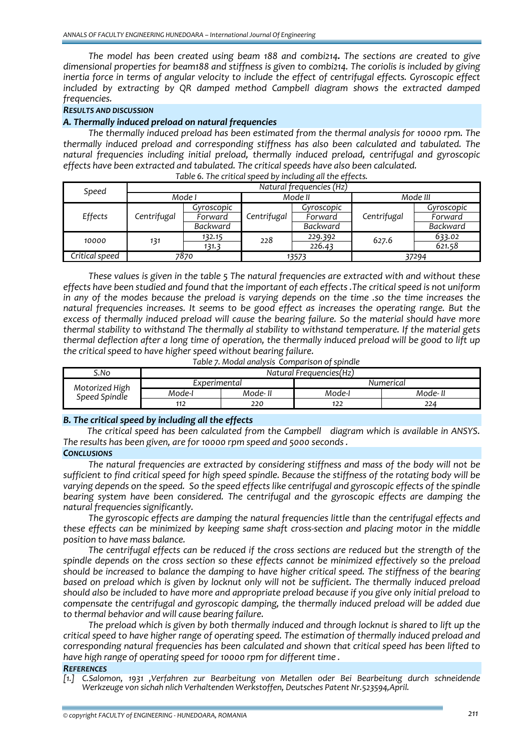*The model has been created using beam 188 and combi214. The sections are created to give dimensional properties for beam188 and stiffness is given to combi214. The coriolis is included by giving inertia force in terms of angular velocity to include the effect of centrifugal effects. Gyroscopic effect included by extracting by QR damped method Campbell diagram shows the extracted damped frequencies.*

## *RESULTS AND DISCUSSION*

#### *A. Thermally induced preload on natural frequencies*

*The thermally induced preload has been estimated from the thermal analysis for 10000 rpm. The thermally induced preload and corresponding stiffness has also been calculated and tabulated. The natural frequencies including initial preload, thermally induced preload, centrifugal and gyroscopic effects have been extracted and tabulated. The critical speeds have also been calculated.* 

| Speed          | Natural frequencies (Hz) |            |             |            |             |            |
|----------------|--------------------------|------------|-------------|------------|-------------|------------|
|                | Mode I                   |            | Mode II     |            | Mode III    |            |
|                |                          | Gyroscopic |             | Gyroscopic |             | Gyroscopic |
| Effects        | Centrifugal              | Forward    | Centrifugal | Forward    | Centrifugal | Forward    |
|                |                          | Backward   |             | Backward   |             | Backward   |
| 10000          |                          | 132.15     | 228         | 229.392    | 627.6       | 633.02     |
|                | 131<br>131.3             |            |             | 226.43     |             | 621.58     |
| Critical speed | 7870                     |            | 13573       |            |             | 37294      |

#### *Table 6. The critical speed by including all the effects.*

*These values is given in the table 5 The natural frequencies are extracted with and without these* effects have been studied and found that the important of each effects. The critical speed is not uniform in any of the modes because the preload is varying depends on the time .so the time increases the *natural frequencies increases. It seems to be good effect as increases the operating range. But the excess of thermally induced preload will cause the bearing failure. So the material should have more thermal stability to withstand The thermally al stability to withstand temperature. If the material gets* thermal deflection after a long time of operation, the thermally induced preload will be good to lift up *the critical speed to have higher speed without bearing failure.* 

*Table 7. Modal analysis Comparison of spindle*

| S.No                            | Natural Frequencies(Hz) |          |           |         |  |  |
|---------------------------------|-------------------------|----------|-----------|---------|--|--|
| Motorized High<br>Speed Spindle | Experimental            |          | Numerical |         |  |  |
|                                 | Mode-I                  | Mode- II | Mode-I    | Mode- I |  |  |
|                                 | 112                     | 220      | 144       | 224     |  |  |

#### *B. The critical speed by including all the effects*

*The critical speed has been calculated from the Campbell diagram which is available in ANSYS. The results has been given, are for 10000 rpm speed and 5000 seconds .*

# *CONCLUSIONS*

*The natural frequencies are extracted by considering stiffness and mass of the body will not be* sufficient to find critical speed for high speed spindle. Because the stiffness of the rotating body will be varying depends on the speed. So the speed effects like centrifugal and gyroscopic effects of the spindle *bearing system have been considered. The centrifugal and the gyroscopic effects are damping the natural frequencies significantly.*

*The gyroscopic effects are damping the natural frequencies little than the centrifugal effects and these effects can be minimized by keeping same shaft cross‐section and placing motor in the middle position to have mass balance.*

*The centrifugal effects can be reduced if the cross sections are reduced but the strength of the spindle depends on the cross section so these effects cannot be minimized effectively so the preload should be increased to balance the damping to have higher critical speed. The stiffness of the bearing based on preload which is given by locknut only will not be sufficient. The thermally induced preload* should also be included to have more and appropriate preload because if you give only initial preload to *compensate the centrifugal and gyroscopic damping, the thermally induced preload will be added due to thermal behavior and will cause bearing failure.* 

*The preload which is given by both thermally induced and through locknut is shared to lift up the critical speed to have higher range of operating speed. The estimation of thermally induced preload and corresponding natural frequencies has been calculated and shown that critical speed has been lifted to have high range of operating speed for 10000 rpm for different time .*

#### *REFERENCES*

*[1.] C.Salomon, 1931 ,Verfahren zur Bearbeitung von Metallen oder Bei Bearbeitung durch schneidende Werkzeuge von sichah nlich Verhaltenden Werkstoffen, Deutsches Patent Nr.523594,April.*